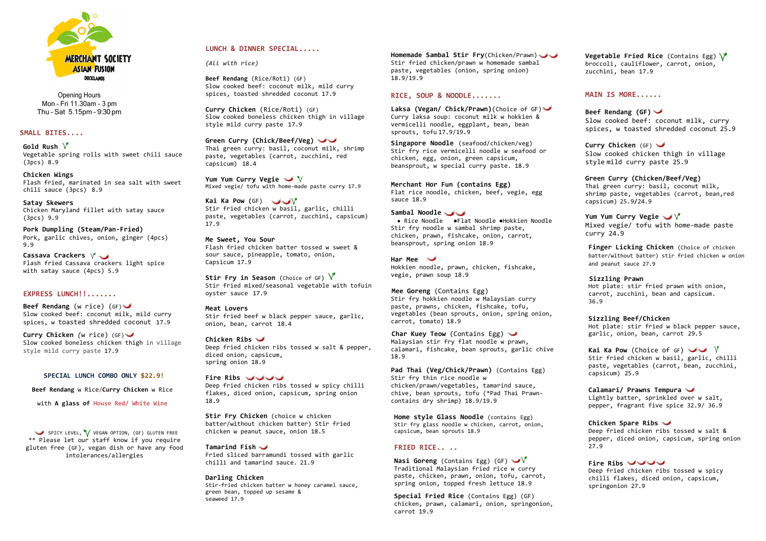

Opening Hours Mon – Fri 11.30am – 3 pm Thu – Sat 5.15pm – 9:30 pm

# **SMALL BITES....**

**Gold Rush** Vegetable spring rolls with sweet chili sauce (3pcs) 8.9

**Chicken Wings** Flash fried, marinated in sea salt with sweet chili sauce (3pcs) 8.9

Cassava Crackers  $\sqrt{ }$ Flash fried Cassava crackers light spice with satay sauce (4pcs) 5.9

**Satay Skewers** Chicken Maryland fillet with satay sauce (3pcs) 9.9

**Pork Dumpling (Steam/Pan-Fried)** Pork, garlic chives, onion, ginger (4pcs) 9.9

# **EXPRESS LUNCH!!.......**

SPICY LEVEL, V VEGAN OPTION, (GF) GLUTEN FREE \*\* Please let our staff know if you require gluten free (GF), vegan dish or have any food intolerances/allergies

**Beef Rendang** (w rice) (GF) Slow cooked beef: coconut milk, mild curry spices, w toasted shredded coconut 17.9

**Curry Chicken** *(*w rice) (GF) Slow cooked boneless chicken thigh in village style mild curry paste 17.9

# **SPECIAL LUNCH COMBO ONLY \$22.9!**

**Beef Rendang** w Rice/**Curry Chicken** w Rice

with **A glass of House Red/ White Wine**

**Stir Fry in Season** (Choice of GF) V Stir fried mixed/seasonal vegetable with tofuin oyster sauce 17.9

## **LUNCH & DINNER SPECIAL.....**

*(All with rice)*

**Beef Rendang** (Rice/Roti) (GF) Slow cooked beef: coconut milk, mild curry spices, toasted shredded coconut 17.9

**Curry Chicken** (Rice/Roti) (GF) Slow cooked boneless chicken thigh in village style mild curry paste 17.9

**Green Curry (Chick/Beef/Veg)** Thai green curry: basil, coconut milk, shrimp paste, vegetables (carrot, zucchini, red capsicum) 18.4

**Yum Yum Curry Vegie** Mixed vegie/ tofu with home-made paste curry 17.9

**Kai Ka Pow (**GF) Stir fried chicken w basil, garlic, chilli paste, vegetables (carrot, zucchini, capsicum) 17.9

**Me Sweet, You Sour** Flash fried chicken batter tossed w sweet & sour sauce, pineapple, tomato, onion, Capsicum 17.9

**Meat Lovers** Stir fried beef w black pepper sauce, garlic, onion, bean, carrot 18.4

**Chicken Ribs** Deep fried chicken ribs tossed w salt & pepper, diced onion, capsicum, spring onion 18.9

**Fire Ribs** Deep fried chicken ribs tossed w spicy chilli flakes, diced onion, capsicum, spring onion 18.9

**Vegetable Fried Rice** (Contains Egg)  $\sqrt{\phantom{a}}$ broccoli, cauliflower, carrot, onion, zucchini, bean 17.9

**Stir Fry Chicken** (choice w chicken batter/without chicken batter) Stir fried chicken w peanut sauce, onion 18.5

**Tamarind Fish** Fried sliced barramundi tossed with garlic chilli and tamarind sauce. 21.9

**Darling Chicken** Stir-fried chicken batter w honey caramel sauce, green bean, topped up sesame &

seaweed 17.9

**Homemade Sambal Stir Fry**(Chicken/Prawn) Stir fried chicken/prawn w homemade sambal paste, vegetables (onion, spring onion) 18.9/19.9

> **Kai Ka Pow** (Choice of GF)  $\vee$  V Stir fried chicken w basil, garlic, chilli paste, vegetables (carrot, bean, zucchini, capsicum) 25.9

# **RICE, SOUP & NOODLE.......**

**Laksa (Vegan/ Chick/Prawn)**(Choice of GF) Curry laksa soup: coconut milk w hokkien & vermicelli noodle, eggplant, bean, bean sprouts, tofu 17.9/19.9

**Singapore Noodle** (seafood/chicken/veg) Stir fry rice vermicelli noodle w seafood or chicken, egg, onion, green capsicum, beansprout, w special curry paste. 18.9

**Merchant Hor Fun (contains Egg)** Flat rice noodle, chicken, beef, vegie, egg

sauce 18.9

#### **Sambal Noodle**

● Rice Noodle ●Flat Noodle ●Hokkien Noodle Stir fry noodle w sambal shrimp paste, chicken, prawn, fishcake, onion, carrot, beansprout, spring onion 18.9

**Har Mee**

Hokkien noodle, prawn, chicken, fishcake, vegie, prawn soup 18.9

**Mee Goreng** (Contains Egg) Stir fry hokkien noodle w Malaysian curry paste, prawns, chicken, fishcake, tofu, vegetables (bean sprouts, onion, spring onion, carrot, tomato) 18.9

**Char Kuey Teow** (Contains Egg) Malaysian stir fry flat noodle w prawn, calamari, fishcake, bean sprouts, garlic chive 18.9

**Pad Thai (Veg/Chick/Prawn)** (Contains Egg) Stir fry thin rice noodle w chicken/prawn/vegetables, tamarind sauce, chive, bean sprouts, tofu (\*Pad Thai Prawncontains dry shrimp) 18.9/19.9

**Home style Glass Noodle** (contains Egg) Stir fry glass noodle w chicken, carrot, onion, capsicum, bean sprouts 18.9

# **FRIED RICE.. ..**

**Nasi Goreng** (Contains Egg) (GF) Traditional Malaysian fried rice w curry paste, chicken, prawn, onion, tofu, carrot, spring onion, topped fresh lettuce 18.9

**Special Fried Rice** (Contains Egg) (GF) chicken, prawn, calamari, onion, springonion, carrot 19.9

#### **MAIN IS MORE......**

**Beef Rendang (GF)** Slow cooked beef: coconut milk, curry spices, w toasted shredded coconut 25.9

**Curry Chicken** (GF) Slow cooked chicken thigh in village style mild curry paste 25.9

**Green Curry (Chicken/Beef/Veg)** Thai green curry: basil, coconut milk, shrimp paste, vegetables (carrot, bean,red capsicum) 25.9**/**24.9

**Yum Yum Curry Vegie** Mixed vegie/ tofu with home-made paste curry 24.9

**Finger Licking Chicken** (Choice of chicken batter/without batter) stir fried chicken w onion and peanut sauce 27.9

**Sizzling Prawn** Hot plate: stir fried prawn with onion, carrot, zucchini, bean and capsicum. 36.9

**Sizzling Beef/Chicken** Hot plate: stir fried w black pepper sauce, garlic, onion, bean, carrot 29.5

**Calamari/ Prawns Tempura** Lightly batter, sprinkled over w salt, pepper, fragrant five spice 32.9/ 36.9

**Chicken Spare Ribs** Deep fried chicken ribs tossed w salt & pepper, diced onion, capsicum, spring onion 27.9

**Fire Ribs**

Deep fried chicken ribs tossed w spicy chilli flakes, diced onion, capsicum, springonion 27.9